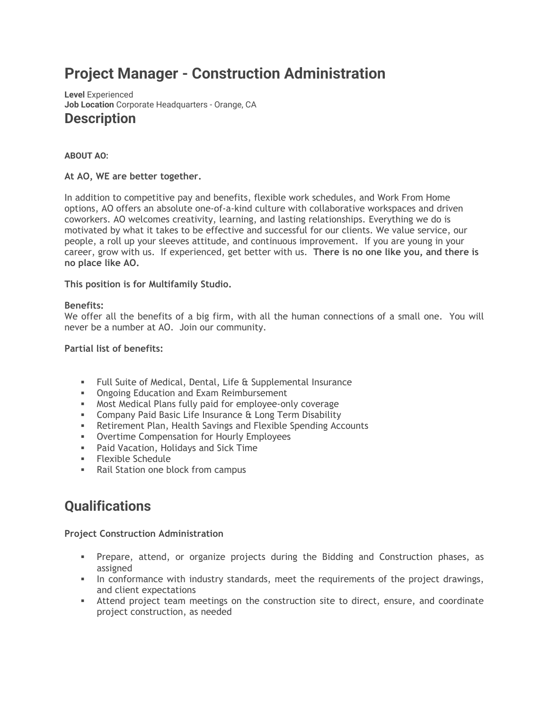# **Project Manager - Construction Administration**

**Level** Experienced **Job Location** Corporate Headquarters - Orange, CA **Description**

# **ABOUT AO:**

# **At AO, WE are better together.**

In addition to competitive pay and benefits, flexible work schedules, and Work From Home options, AO offers an absolute one-of-a-kind culture with collaborative workspaces and driven coworkers. AO welcomes creativity, learning, and lasting relationships. Everything we do is motivated by what it takes to be effective and successful for our clients. We value service, our people, a roll up your sleeves attitude, and continuous improvement. If you are young in your career, grow with us. If experienced, get better with us. **There is no one like you, and there is no place like AO.**

**This position is for Multifamily Studio.**

## **Benefits:**

We offer all the benefits of a big firm, with all the human connections of a small one. You will never be a number at AO. Join our community.

## **Partial list of benefits:**

- Full Suite of Medical, Dental, Life & Supplemental Insurance
- **Ongoing Education and Exam Reimbursement**
- **■** Most Medical Plans fully paid for employee-only coverage
- **EXECOMPANY Paid Basic Life Insurance & Long Term Disability**
- **EXECTER: A** Retirement Plan, Health Savings and Flexible Spending Accounts
- Overtime Compensation for Hourly Employees
- Paid Vacation, Holidays and Sick Time
- Flexible Schedule
- Rail Station one block from campus

# **Qualifications**

## **Project Construction Administration**

- Prepare, attend, or organize projects during the Bidding and Construction phases, as assigned
- In conformance with industry standards, meet the requirements of the project drawings, and client expectations
- **EXECT** Attend project team meetings on the construction site to direct, ensure, and coordinate project construction, as needed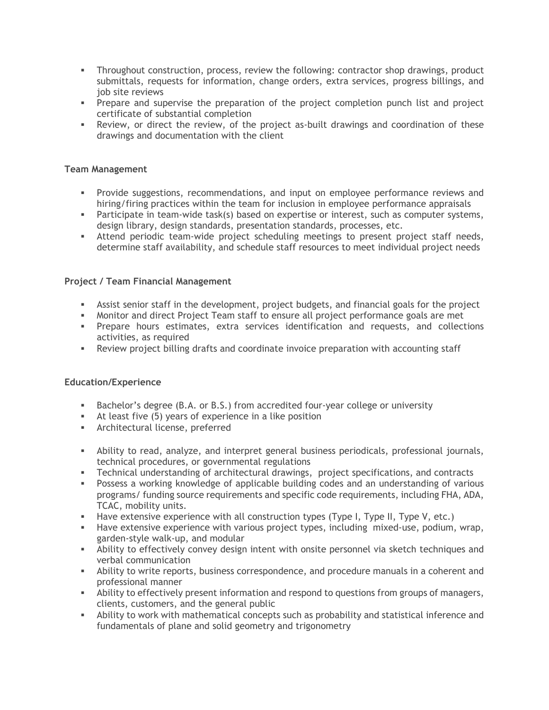- Throughout construction, process, review the following: contractor shop drawings, product submittals, requests for information, change orders, extra services, progress billings, and job site reviews
- **•** Prepare and supervise the preparation of the project completion punch list and project certificate of substantial completion
- **•** Review, or direct the review, of the project as-built drawings and coordination of these drawings and documentation with the client

# **Team Management**

- **•** Provide suggestions, recommendations, and input on employee performance reviews and hiring/firing practices within the team for inclusion in employee performance appraisals
- **EXECT** Participate in team-wide task(s) based on expertise or interest, such as computer systems, design library, design standards, presentation standards, processes, etc.
- Attend periodic team-wide project scheduling meetings to present project staff needs, determine staff availability, and schedule staff resources to meet individual project needs

# **Project / Team Financial Management**

- **EXECT** Assist senior staff in the development, project budgets, and financial goals for the project
- **■** Monitor and direct Project Team staff to ensure all project performance goals are met
- **•** Prepare hours estimates, extra services identification and requests, and collections activities, as required
- **•** Review project billing drafts and coordinate invoice preparation with accounting staff

## **Education/Experience**

- **EXE** Bachelor's degree (B.A. or B.S.) from accredited four-year college or university
- **EXE** At least five (5) years of experience in a like position
- **EXECUTE Architectural license, preferred**
- **EXECT Ability to read, analyze, and interpret general business periodicals, professional journals,** technical procedures, or governmental regulations
- Technical understanding of architectural drawings, project specifications, and contracts
- **•** Possess a working knowledge of applicable building codes and an understanding of various programs/ funding source requirements and specific code requirements, including FHA, ADA, TCAC, mobility units.
- **EXED** Have extensive experience with all construction types (Type I, Type I, Type V, etc.)
- **EXED** Have extensive experience with various project types, including mixed-use, podium, wrap, garden-style walk-up, and modular
- **EXECT** Ability to effectively convey design intent with onsite personnel via sketch techniques and verbal communication
- **EXECT** Ability to write reports, business correspondence, and procedure manuals in a coherent and professional manner
- **EXECT** Ability to effectively present information and respond to questions from groups of managers, clients, customers, and the general public
- **•** Ability to work with mathematical concepts such as probability and statistical inference and fundamentals of plane and solid geometry and trigonometry